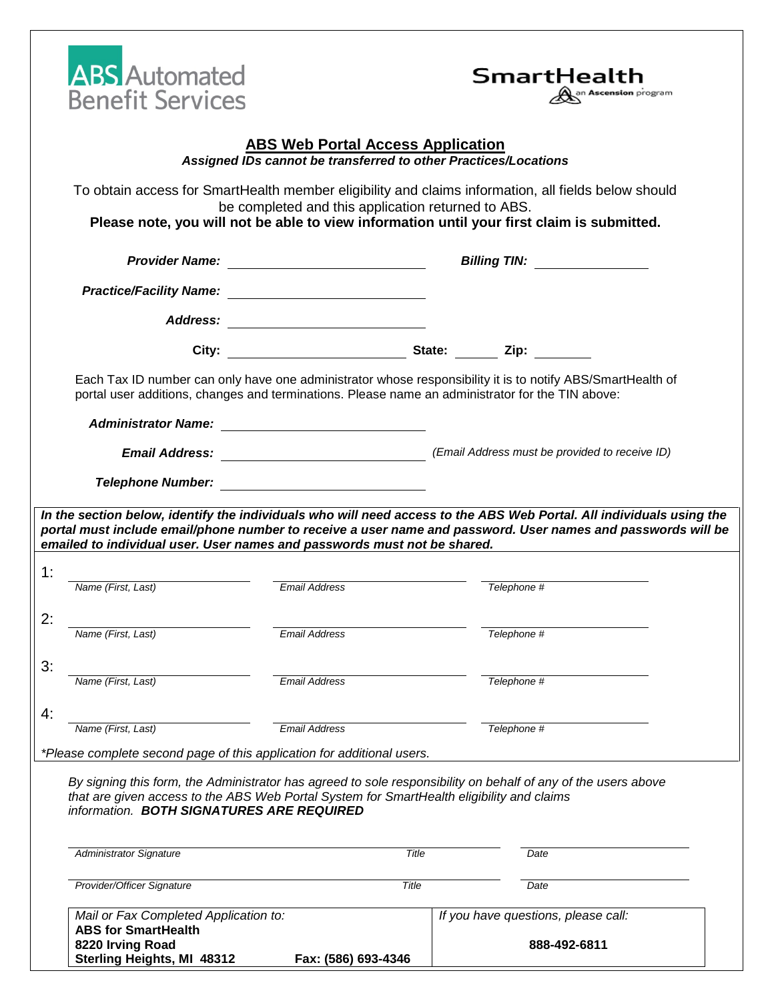| <b>Benefit Services</b>                                                                                                                                                                                          |                                                                                                             | SmartHealth<br>an <b>Ascension</b> program                                                                                                                                                                     |
|------------------------------------------------------------------------------------------------------------------------------------------------------------------------------------------------------------------|-------------------------------------------------------------------------------------------------------------|----------------------------------------------------------------------------------------------------------------------------------------------------------------------------------------------------------------|
|                                                                                                                                                                                                                  | <b>ABS Web Portal Access Application</b><br>Assigned IDs cannot be transferred to other Practices/Locations |                                                                                                                                                                                                                |
|                                                                                                                                                                                                                  | be completed and this application returned to ABS.                                                          | To obtain access for SmartHealth member eligibility and claims information, all fields below should<br>Please note, you will not be able to view information until your first claim is submitted.              |
|                                                                                                                                                                                                                  |                                                                                                             | Billing TIN: ________________                                                                                                                                                                                  |
|                                                                                                                                                                                                                  | Practice/Facility Name: Practice/Facility Name:                                                             |                                                                                                                                                                                                                |
|                                                                                                                                                                                                                  | Address: ________________________                                                                           |                                                                                                                                                                                                                |
|                                                                                                                                                                                                                  |                                                                                                             |                                                                                                                                                                                                                |
|                                                                                                                                                                                                                  | Administrator Name: <u>_________________________</u>                                                        | Each Tax ID number can only have one administrator whose responsibility it is to notify ABS/SmartHealth of<br>portal user additions, changes and terminations. Please name an administrator for the TIN above: |
|                                                                                                                                                                                                                  |                                                                                                             |                                                                                                                                                                                                                |
|                                                                                                                                                                                                                  |                                                                                                             |                                                                                                                                                                                                                |
| emailed to individual user. User names and passwords must not be shared.                                                                                                                                         |                                                                                                             |                                                                                                                                                                                                                |
| Name (First, Last)                                                                                                                                                                                               | <b>Email Address</b>                                                                                        | Telephone #                                                                                                                                                                                                    |
| Name (First, Last)                                                                                                                                                                                               | <b>Email Address</b>                                                                                        | Telephone #                                                                                                                                                                                                    |
| Name (First, Last)                                                                                                                                                                                               | <b>Email Address</b>                                                                                        | Telephone #                                                                                                                                                                                                    |
|                                                                                                                                                                                                                  | <b>Email Address</b>                                                                                        |                                                                                                                                                                                                                |
| Name (First, Last)                                                                                                                                                                                               |                                                                                                             | Telephone #                                                                                                                                                                                                    |
| *Please complete second page of this application for additional users.<br>that are given access to the ABS Web Portal System for SmartHealth eligibility and claims<br>information. BOTH SIGNATURES ARE REQUIRED |                                                                                                             | By signing this form, the Administrator has agreed to sole responsibility on behalf of any of the users above                                                                                                  |
| <b>Administrator Signature</b>                                                                                                                                                                                   | Title                                                                                                       | Date                                                                                                                                                                                                           |
| Provider/Officer Signature                                                                                                                                                                                       | Title                                                                                                       | Date                                                                                                                                                                                                           |

| . |                            |  |                     |
|---|----------------------------|--|---------------------|
|   | Sterling Heights, MI 48312 |  | Fax: (586) 693-4346 |